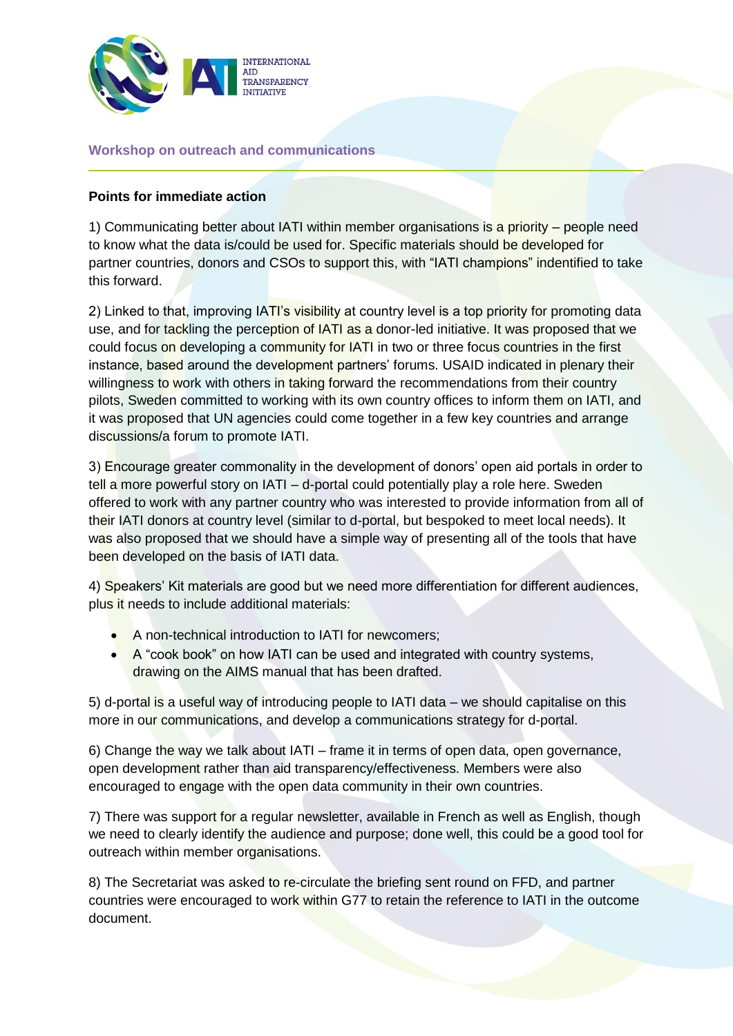

## **Workshop on outreach and communications**

## **Points for immediate action**

1) Communicating better about IATI within member organisations is a priority – people need to know what the data is/could be used for. Specific materials should be developed for partner countries, donors and CSOs to support this, with "IATI champions" indentified to take this forward.

2) Linked to that, improving IATI's visibility at country level is a top priority for promoting data use, and for tackling the perception of IATI as a donor-led initiative. It was proposed that we could focus on developing a community for IATI in two or three focus countries in the first instance, based around the development partners' forums. USAID indicated in plenary their willingness to work with others in taking forward the recommendations from their country pilots, Sweden committed to working with its own country offices to inform them on IATI, and it was proposed that UN agencies could come together in a few key countries and arrange discussions/a forum to promote IATI.

3) Encourage greater commonality in the development of donors' open aid portals in order to tell a more powerful story on IATI – d-portal could potentially play a role here. Sweden offered to work with any partner country who was interested to provide information from all of their IATI donors at country level (similar to d-portal, but bespoked to meet local needs). It was also proposed that we should have a simple way of presenting all of the tools that have been developed on the basis of IATI data.

4) Speakers' Kit materials are good but we need more differentiation for different audiences, plus it needs to include additional materials:

- A non-technical introduction to IATI for newcomers;
- A "cook book" on how IATI can be used and integrated with country systems, drawing on the AIMS manual that has been drafted.

5) d-portal is a useful way of introducing people to IATI data – we should capitalise on this more in our communications, and develop a communications strategy for d-portal.

6) Change the way we talk about IATI – frame it in terms of open data, open governance, open development rather than aid transparency/effectiveness. Members were also encouraged to engage with the open data community in their own countries.

7) There was support for a regular newsletter, available in French as well as English, though we need to clearly identify the audience and purpose; done well, this could be a good tool for outreach within member organisations.

8) The Secretariat was asked to re-circulate the briefing sent round on FFD, and partner countries were encouraged to work within G77 to retain the reference to IATI in the outcome document.